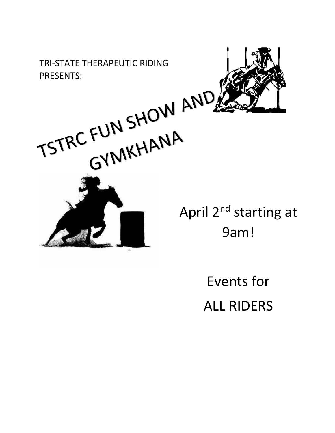TRI-STATE THERAPEUTIC RIDING





April 2<sup>nd</sup> starting at 9am!

> Events for ALL RIDERS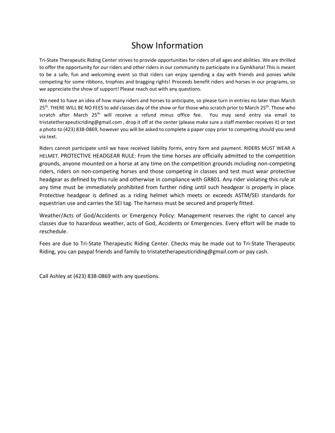# Show Information

Tri-State Therapeutic Riding Center strives to provide opportunities for riders of all ages and abilities. We are thrilled to offer the opportunity for our riders and other riders in our community to participate in a Gymkhana! This is meant to be a safe, fun and welcoming event so that riders can enjoy spending a day with friends and ponies while competing for some ribbons, trophies and bragging rights! Proceeds benefit riders and horses in our programs, so we appreciate the show of support! Please reach out with any questions.

We need to have an idea of how many riders and horses to anticipate, so please turn in entries no later than March 25<sup>th</sup>. THERE WILL BE NO FEES to add classes day of the show or for those who scratch prior to March 25<sup>th</sup>. Those who scratch after March 25<sup>th</sup> will receive a refund minus office fee. You may send entry via email to tristatetherapeuticriding@gmail.com , drop it off at the center (please make sure a staff member receives it) or text a photo to (423) 838-0869, however you will be asked to complete a paper copy prior to competing should you send via text.

Riders cannot participate until we have received liability forms, entry form and payment. RIDERS MUST WEAR A HELMET. PROTECTIVE HEADGEAR RULE: From the time horses are officially admitted to the competition grounds, anyone mounted on a horse at any time on the competition grounds including non-competing riders, riders on non-competing horses and those competing in classes and test must wear protective headgear as defined by this rule and otherwise in compliance with GR801. Any rider violating this rule at any time must be immediately prohibited from further riding until such headgear is properly in place. Protective headgear is defined as a riding helmet which meets or exceeds ASTM/SEI standards for equestrian use and carries the SEI tag. The harness must be secured and properly fitted.

Weather/Acts of God/Accidents or Emergency Policy: Management reserves the right to cancel any classes due to hazardous weather, acts of God, Accidents or Emergencies. Every effort will be made to reschedule.

Fees are due to Tri-State Therapeutic Riding Center. Checks may be made out to Tri-State Therapeutic Riding, you can paypal friends and family to tristatetherapeuticriding@gmail.com or pay cash.

Call Ashley at (423) 838-0869 with any questions.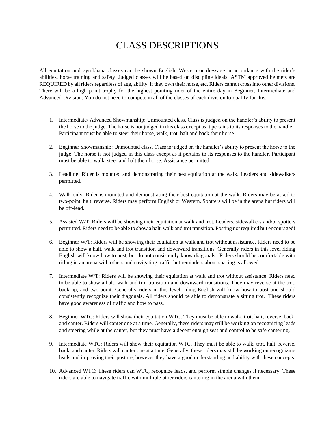# CLASS DESCRIPTIONS

All equitation and gymkhana classes can be shown English, Western or dressage in accordance with the rider's abilities, horse training and safety. Judged classes will be based on discipline ideals. ASTM approved helmets are REQUIRED by all riders regardless of age, ability, if they own their horse, etc. Riders cannot cross into other divisions. There will be a high point trophy for the highest pointing rider of the entire day in Beginner, Intermediate and Advanced Division. You do not need to compete in all of the classes of each division to qualify for this.

- 1. Intermediate/ Advanced Showmanship: Unmounted class. Class is judged on the handler's ability to present the horse to the judge. The horse is not judged in this class except as it pertains to its responses to the handler. Participant must be able to steer their horse, walk, trot, halt and back their horse.
- 2. Beginner Showmanship: Unmounted class. Class is judged on the handler's ability to present the horse to the judge. The horse is not judged in this class except as it pertains to its responses to the handler. Participant must be able to walk, steer and halt their horse. Assistance permitted.
- 3. Leadline: Rider is mounted and demonstrating their best equitation at the walk. Leaders and sidewalkers permitted.
- 4. Walk-only: Rider is mounted and demonstrating their best equitation at the walk. Riders may be asked to two-point, halt, reverse. Riders may perform English or Western. Spotters will be in the arena but riders will be off-lead.
- 5. Assisted W/T: Riders will be showing their equitation at walk and trot. Leaders, sidewalkers and/or spotters permitted. Riders need to be able to show a halt, walk and trot transition. Posting not required but encouraged!
- 6. Beginner W/T: Riders will be showing their equitation at walk and trot without assistance. Riders need to be able to show a halt, walk and trot transition and downward transitions. Generally riders in this level riding English will know how to post, but do not consistently know diagonals. Riders should be comfortable with riding in an arena with others and navigating traffic but reminders about spacing is allowed.
- 7. Intermediate W/T: Riders will be showing their equitation at walk and trot without assistance. Riders need to be able to show a halt, walk and trot transition and downward transitions. They may reverse at the trot, back-up, and two-point. Generally riders in this level riding English will know how to post and should consistently recognize their diagonals. All riders should be able to demonstrate a sitting trot. These riders have good awareness of traffic and how to pass.
- 8. Beginner WTC: Riders will show their equitation WTC. They must be able to walk, trot, halt, reverse, back, and canter. Riders will canter one at a time. Generally, these riders may still be working on recognizing leads and steering while at the canter, but they must have a decent enough seat and control to be safe cantering.
- 9. Intermediate WTC: Riders will show their equitation WTC. They must be able to walk, trot, halt, reverse, back, and canter. Riders will canter one at a time. Generally, these riders may still be working on recognizing leads and improving their posture, however they have a good understanding and ability with these concepts.
- 10. Advanced WTC: These riders can WTC, recognize leads, and perform simple changes if necessary. These riders are able to navigate traffic with multiple other riders cantering in the arena with them.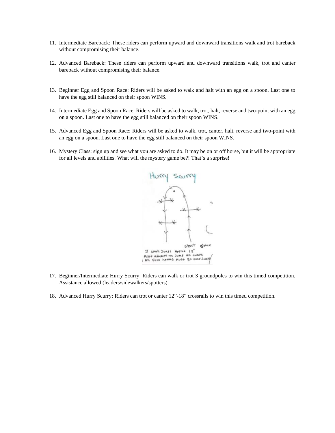- 11. Intermediate Bareback: These riders can perform upward and downward transitions walk and trot bareback without compromising their balance.
- 12. Advanced Bareback: These riders can perform upward and downward transitions walk, trot and canter bareback without compromising their balance.
- 13. Beginner Egg and Spoon Race: Riders will be asked to walk and halt with an egg on a spoon. Last one to have the egg still balanced on their spoon WINS.
- 14. Intermediate Egg and Spoon Race: Riders will be asked to walk, trot, halt, reverse and two-point with an egg on a spoon. Last one to have the egg still balanced on their spoon WINS.
- 15. Advanced Egg and Spoon Race: Riders will be asked to walk, trot, canter, halt, reverse and two-point with an egg on a spoon. Last one to have the egg still balanced on their spoon WINS.
- 16. Mystery Class: sign up and see what you are asked to do. It may be on or off horse, but it will be appropriate for all levels and abilities. What will the mystery game be?! That's a surprise!



- 17. Beginner/Intermediate Hurry Scurry: Riders can walk or trot 3 groundpoles to win this timed competition. Assistance allowed (leaders/sidewalkers/spotters).
- 18. Advanced Hurry Scurry: Riders can trot or canter 12"-18" crossrails to win this timed competition.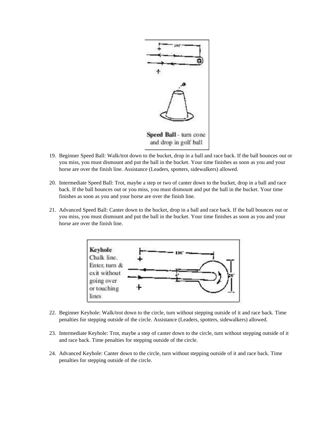

- 19. Beginner Speed Ball: Walk/trot down to the bucket, drop in a ball and race back. If the ball bounces out or you miss, you must dismount and put the ball in the bucket. Your time finishes as soon as you and your horse are over the finish line. Assistance (Leaders, spotters, sidewalkers) allowed.
- 20. Intermediate Speed Ball: Trot, maybe a step or two of canter down to the bucket, drop in a ball and race back. If the ball bounces out or you miss, you must dismount and put the ball in the bucket. Your time finishes as soon as you and your horse are over the finish line.
- 21. Advanced Speed Ball: Canter down to the bucket, drop in a ball and race back. If the ball bounces out or you miss, you must dismount and put the ball in the bucket. Your time finishes as soon as you and your horse are over the finish line.



- 22. Beginner Keyhole: Walk/trot down to the circle, turn without stepping outside of it and race back. Time penalties for stepping outside of the circle. Assistance (Leaders, spotters, sidewalkers) allowed.
- 23. Intermediate Keyhole: Trot, maybe a step of canter down to the circle, turn without stepping outside of it and race back. Time penalties for stepping outside of the circle.
- 24. Advanced Keyhole: Canter down to the circle, turn without stepping outside of it and race back. Time penalties for stepping outside of the circle.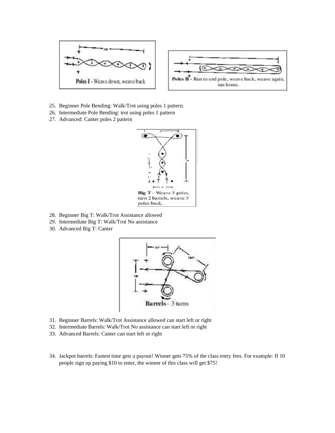

- 25. Beginner Pole Bending: Walk/Trot using poles 1 pattern.
- 26. Intermediate Pole Bending: trot using poles 1 pattern
- 27. Advanced: Canter poles 2 pattern



- 28. Beginner Big T: Walk/Trot Assistance allowed
- 29. Intermediate Big T: Walk/Trot No assistance
- 30. Advanced Big T: Canter



- 31. Beginner Barrels: Walk/Trot Assistance allowed can start left or right
- 32. Intermediate Barrels: Walk/Trot No assistance can start left or right
- 33. Advanced Barrels: Canter can start left or right
- 34. Jackpot barrels: Fastest time gets a payout! Winner gets 75% of the class entry fees. For example: If 10 people sign up paying \$10 to enter, the winner of this class will get \$75!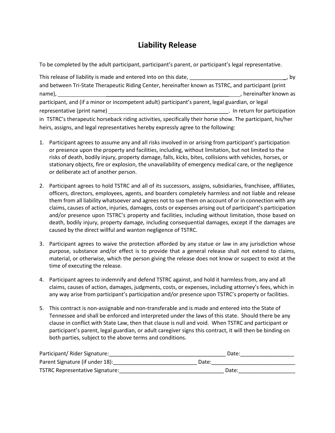### **Liability Release**

To be completed by the adult participant, participant's parent, or participant's legal representative.

| This release of liability is made and entered into on this date, ________                                   | bv                            |
|-------------------------------------------------------------------------------------------------------------|-------------------------------|
| and between Tri-State Therapeutic Riding Center, hereinafter known as TSTRC, and participant (print         |                               |
| name),                                                                                                      | hereinafter known as          |
| participant, and (if a minor or incompetent adult) participant's parent, legal guardian, or legal           |                               |
| representative (print name)                                                                                 | . In return for participation |
| in TSTRC's therapeutic horseback riding activities, specifically their horse show. The participant, his/her |                               |
| heirs, assigns, and legal representatives hereby expressly agree to the following:                          |                               |

- 1. Participant agrees to assume any and all risks involved in or arising from participant's participation or presence upon the property and facilities, including, without limitation, but not limited to the risks of death, bodily injury, property damage, falls, kicks, bites, collisions with vehicles, horses, or stationary objects, fire or explosion, the unavailability of emergency medical care, or the negligence or deliberate act of another person.
- 2. Participant agrees to hold TSTRC and all of its successors, assigns, subsidiaries, franchisee, affiliates, officers, directors, employees, agents, and boarders completely harmless and not liable and release them from all liability whatsoever and agrees not to sue them on account of or in connection with any claims, causes of action, injuries, damages, costs or expenses arising out of participant's participation and/or presence upon TSTRC's property and facilities, including without limitation, those based on death, bodily injury, property damage, including consequential damages, except if the damages are caused by the direct willful and wanton negligence of TSTRC.
- 3. Participant agrees to waive the protection afforded by any statue or law in any jurisdiction whose purpose, substance and/or effect is to provide that a general release shall not extend to claims, material, or otherwise, which the person giving the release does not know or suspect to exist at the time of executing the release.
- 4. Participant agrees to indemnify and defend TSTRC against, and hold it harmless from, any and all claims, causes of action, damages, judgments, costs, or expenses, including attorney's fees, which in any way arise from participant's participation and/or presence upon TSTRC's property or facilities.
- 5. This contract is non-assignable and non-transferable and is made and entered into the State of Tennessee and shall be enforced and interpreted under the laws of this state. Should there be any clause in conflict with State Law, then that clause is null and void. When TSTRC and participant or participant's parent, legal guardian, or adult caregiver signs this contract, it will then be binding on both parties, subject to the above terms and conditions.

| Participant/ Rider Signature:          | Date: |
|----------------------------------------|-------|
| Parent Signature (if under 18):        | Date: |
| <b>TSTRC Representative Signature:</b> | Date: |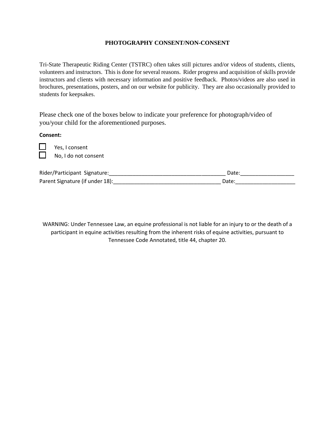#### **PHOTOGRAPHY CONSENT/NON-CONSENT**

Tri-State Therapeutic Riding Center (TSTRC) often takes still pictures and/or videos of students, clients, volunteers and instructors. This is done for several reasons. Rider progress and acquisition of skills provide instructors and clients with necessary information and positive feedback. Photos/videos are also used in brochures, presentations, posters, and on our website for publicity. They are also occasionally provided to students for keepsakes.

Please check one of the boxes below to indicate your preference for photograph/video of you/your child for the aforementioned purposes.

**Consent:** 

֡֬

Yes, I consent No, I do not consent

| Rider/Participant Signature:    | Date  |
|---------------------------------|-------|
| Parent Signature (if under 18): | Date: |

WARNING: Under Tennessee Law, an equine professional is not liable for an injury to or the death of a participant in equine activities resulting from the inherent risks of equine activities, pursuant to Tennessee Code Annotated, title 44, chapter 20.